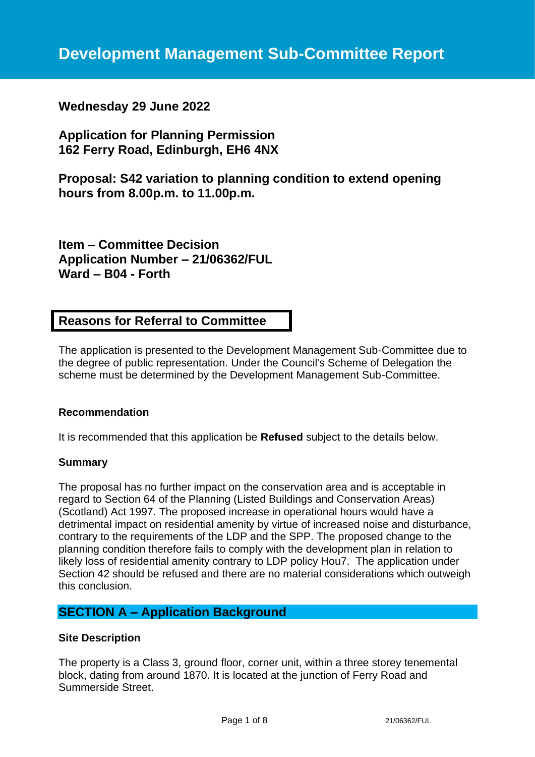# **Wednesday 29 June 2022**

**Application for Planning Permission 162 Ferry Road, Edinburgh, EH6 4NX**

**Proposal: S42 variation to planning condition to extend opening hours from 8.00p.m. to 11.00p.m.**

**Item – Committee Decision Application Number – 21/06362/FUL Ward – B04 - Forth**

# **Reasons for Referral to Committee**

The application is presented to the Development Management Sub-Committee due to the degree of public representation. Under the Council's Scheme of Delegation the scheme must be determined by the Development Management Sub-Committee.

### **Recommendation**

It is recommended that this application be **Refused** subject to the details below.

### **Summary**

The proposal has no further impact on the conservation area and is acceptable in regard to Section 64 of the Planning (Listed Buildings and Conservation Areas) (Scotland) Act 1997. The proposed increase in operational hours would have a detrimental impact on residential amenity by virtue of increased noise and disturbance, contrary to the requirements of the LDP and the SPP. The proposed change to the planning condition therefore fails to comply with the development plan in relation to likely loss of residential amenity contrary to LDP policy Hou7. The application under Section 42 should be refused and there are no material considerations which outweigh this conclusion.

# **SECTION A – Application Background**

#### **Site Description**

The property is a Class 3, ground floor, corner unit, within a three storey tenemental block, dating from around 1870. It is located at the junction of Ferry Road and Summerside Street.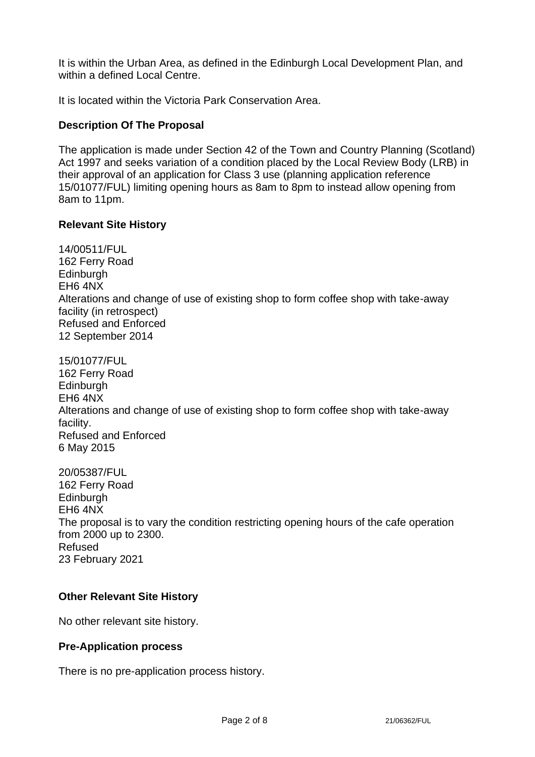It is within the Urban Area, as defined in the Edinburgh Local Development Plan, and within a defined Local Centre.

It is located within the Victoria Park Conservation Area.

## **Description Of The Proposal**

The application is made under Section 42 of the Town and Country Planning (Scotland) Act 1997 and seeks variation of a condition placed by the Local Review Body (LRB) in their approval of an application for Class 3 use (planning application reference 15/01077/FUL) limiting opening hours as 8am to 8pm to instead allow opening from 8am to 11pm.

### **Relevant Site History**

14/00511/FUL 162 Ferry Road Edinburgh EH6 4NX Alterations and change of use of existing shop to form coffee shop with take-away facility (in retrospect) Refused and Enforced 12 September 2014 15/01077/FUL 162 Ferry Road **Edinburgh** EH6 4NX

Alterations and change of use of existing shop to form coffee shop with take-away facility. Refused and Enforced 6 May 2015

20/05387/FUL 162 Ferry Road **Edinburgh** EH6 4NX The proposal is to vary the condition restricting opening hours of the cafe operation from 2000 up to 2300. Refused 23 February 2021

# **Other Relevant Site History**

No other relevant site history.

### **Pre-Application process**

There is no pre-application process history.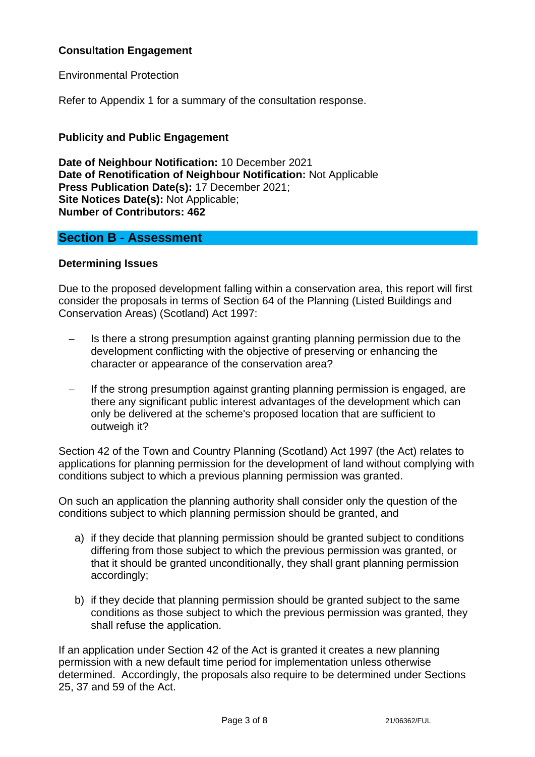# **Consultation Engagement**

Environmental Protection

Refer to Appendix 1 for a summary of the consultation response.

## **Publicity and Public Engagement**

**Date of Neighbour Notification:** 10 December 2021 **Date of Renotification of Neighbour Notification:** Not Applicable **Press Publication Date(s):** 17 December 2021; **Site Notices Date(s):** Not Applicable; **Number of Contributors: 462**

# **Section B - Assessment**

### **Determining Issues**

Due to the proposed development falling within a conservation area, this report will first consider the proposals in terms of Section 64 of the Planning (Listed Buildings and Conservation Areas) (Scotland) Act 1997:

- Is there a strong presumption against granting planning permission due to the development conflicting with the objective of preserving or enhancing the character or appearance of the conservation area?
- − If the strong presumption against granting planning permission is engaged, are there any significant public interest advantages of the development which can only be delivered at the scheme's proposed location that are sufficient to outweigh it?

Section 42 of the Town and Country Planning (Scotland) Act 1997 (the Act) relates to applications for planning permission for the development of land without complying with conditions subject to which a previous planning permission was granted.

On such an application the planning authority shall consider only the question of the conditions subject to which planning permission should be granted, and

- a) if they decide that planning permission should be granted subject to conditions differing from those subject to which the previous permission was granted, or that it should be granted unconditionally, they shall grant planning permission accordingly;
- b) if they decide that planning permission should be granted subject to the same conditions as those subject to which the previous permission was granted, they shall refuse the application.

If an application under Section 42 of the Act is granted it creates a new planning permission with a new default time period for implementation unless otherwise determined. Accordingly, the proposals also require to be determined under Sections 25, 37 and 59 of the Act.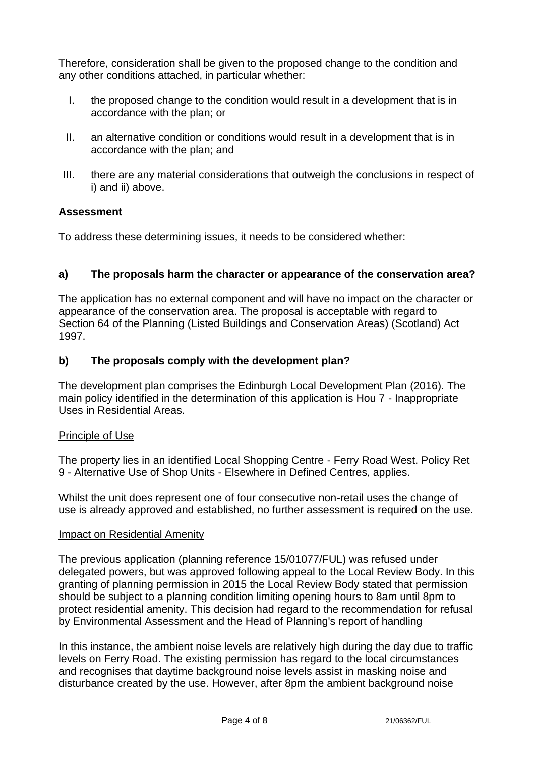Therefore, consideration shall be given to the proposed change to the condition and any other conditions attached, in particular whether:

- I. the proposed change to the condition would result in a development that is in accordance with the plan; or
- II. an alternative condition or conditions would result in a development that is in accordance with the plan; and
- III. there are any material considerations that outweigh the conclusions in respect of i) and ii) above.

## **Assessment**

To address these determining issues, it needs to be considered whether:

# **a) The proposals harm the character or appearance of the conservation area?**

The application has no external component and will have no impact on the character or appearance of the conservation area. The proposal is acceptable with regard to Section 64 of the Planning (Listed Buildings and Conservation Areas) (Scotland) Act 1997.

# **b) The proposals comply with the development plan?**

The development plan comprises the Edinburgh Local Development Plan (2016). The main policy identified in the determination of this application is Hou 7 - Inappropriate Uses in Residential Areas.

### Principle of Use

The property lies in an identified Local Shopping Centre - Ferry Road West. Policy Ret 9 - Alternative Use of Shop Units - Elsewhere in Defined Centres, applies.

Whilst the unit does represent one of four consecutive non-retail uses the change of use is already approved and established, no further assessment is required on the use.

### Impact on Residential Amenity

The previous application (planning reference 15/01077/FUL) was refused under delegated powers, but was approved following appeal to the Local Review Body. In this granting of planning permission in 2015 the Local Review Body stated that permission should be subject to a planning condition limiting opening hours to 8am until 8pm to protect residential amenity. This decision had regard to the recommendation for refusal by Environmental Assessment and the Head of Planning's report of handling

In this instance, the ambient noise levels are relatively high during the day due to traffic levels on Ferry Road. The existing permission has regard to the local circumstances and recognises that daytime background noise levels assist in masking noise and disturbance created by the use. However, after 8pm the ambient background noise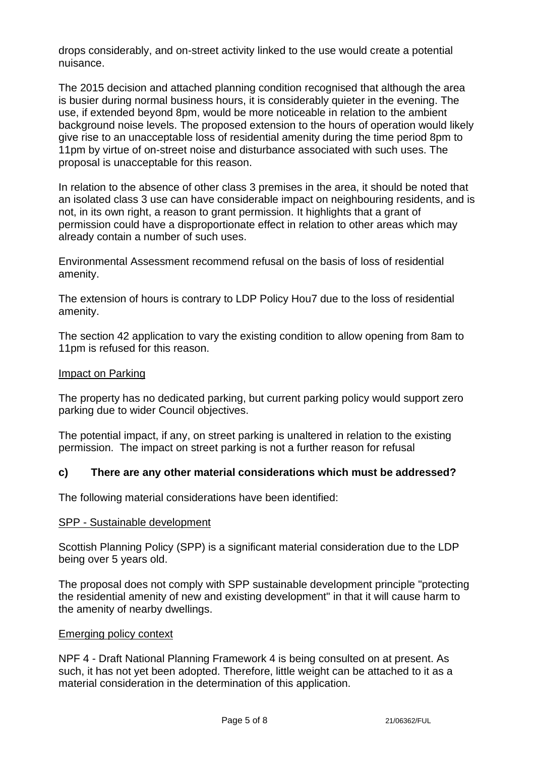drops considerably, and on-street activity linked to the use would create a potential nuisance.

The 2015 decision and attached planning condition recognised that although the area is busier during normal business hours, it is considerably quieter in the evening. The use, if extended beyond 8pm, would be more noticeable in relation to the ambient background noise levels. The proposed extension to the hours of operation would likely give rise to an unacceptable loss of residential amenity during the time period 8pm to 11pm by virtue of on-street noise and disturbance associated with such uses. The proposal is unacceptable for this reason.

In relation to the absence of other class 3 premises in the area, it should be noted that an isolated class 3 use can have considerable impact on neighbouring residents, and is not, in its own right, a reason to grant permission. It highlights that a grant of permission could have a disproportionate effect in relation to other areas which may already contain a number of such uses.

Environmental Assessment recommend refusal on the basis of loss of residential amenity.

The extension of hours is contrary to LDP Policy Hou7 due to the loss of residential amenity.

The section 42 application to vary the existing condition to allow opening from 8am to 11pm is refused for this reason.

### Impact on Parking

The property has no dedicated parking, but current parking policy would support zero parking due to wider Council objectives.

The potential impact, if any, on street parking is unaltered in relation to the existing permission. The impact on street parking is not a further reason for refusal

### **c) There are any other material considerations which must be addressed?**

The following material considerations have been identified:

#### SPP - Sustainable development

Scottish Planning Policy (SPP) is a significant material consideration due to the LDP being over 5 years old.

The proposal does not comply with SPP sustainable development principle "protecting the residential amenity of new and existing development" in that it will cause harm to the amenity of nearby dwellings.

#### Emerging policy context

NPF 4 - Draft National Planning Framework 4 is being consulted on at present. As such, it has not yet been adopted. Therefore, little weight can be attached to it as a material consideration in the determination of this application.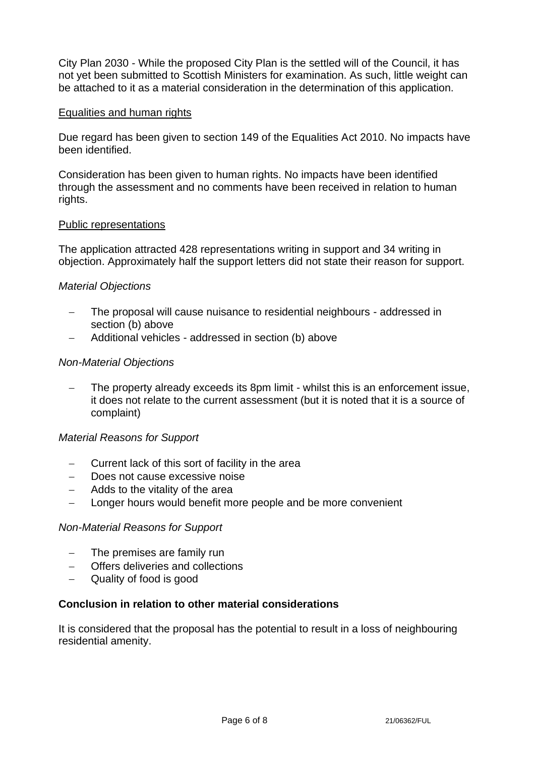City Plan 2030 - While the proposed City Plan is the settled will of the Council, it has not yet been submitted to Scottish Ministers for examination. As such, little weight can be attached to it as a material consideration in the determination of this application.

#### Equalities and human rights

Due regard has been given to section 149 of the Equalities Act 2010. No impacts have been identified.

Consideration has been given to human rights. No impacts have been identified through the assessment and no comments have been received in relation to human rights.

#### Public representations

The application attracted 428 representations writing in support and 34 writing in objection. Approximately half the support letters did not state their reason for support.

#### *Material Objections*

- The proposal will cause nuisance to residential neighbours addressed in section (b) above
- − Additional vehicles addressed in section (b) above

#### *Non-Material Objections*

The property already exceeds its 8pm limit - whilst this is an enforcement issue, it does not relate to the current assessment (but it is noted that it is a source of complaint)

#### *Material Reasons for Support*

- − Current lack of this sort of facility in the area
- − Does not cause excessive noise
- − Adds to the vitality of the area
- − Longer hours would benefit more people and be more convenient

#### *Non-Material Reasons for Support*

- The premises are family run
- Offers deliveries and collections
- − Quality of food is good

#### **Conclusion in relation to other material considerations**

It is considered that the proposal has the potential to result in a loss of neighbouring residential amenity.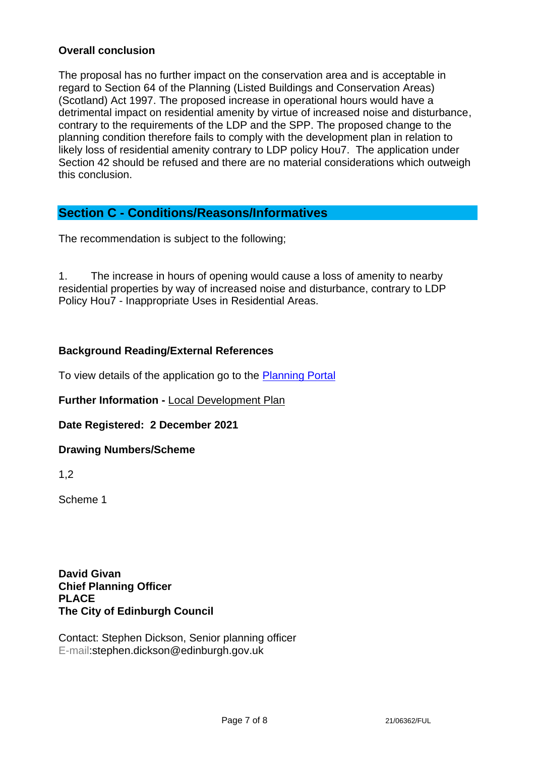### **Overall conclusion**

The proposal has no further impact on the conservation area and is acceptable in regard to Section 64 of the Planning (Listed Buildings and Conservation Areas) (Scotland) Act 1997. The proposed increase in operational hours would have a detrimental impact on residential amenity by virtue of increased noise and disturbance, contrary to the requirements of the LDP and the SPP. The proposed change to the planning condition therefore fails to comply with the development plan in relation to likely loss of residential amenity contrary to LDP policy Hou7. The application under Section 42 should be refused and there are no material considerations which outweigh this conclusion.

# **Section C - Conditions/Reasons/Informatives**

The recommendation is subject to the following;

1. The increase in hours of opening would cause a loss of amenity to nearby residential properties by way of increased noise and disturbance, contrary to LDP Policy Hou7 - Inappropriate Uses in Residential Areas.

## **Background Reading/External References**

To view details of the application go to the [Planning Portal](https://citydev-portal.edinburgh.gov.uk/idoxpa-web/applicationDetails.do?activeTab=summary&keyVal=R3HLDMEWGVK00)

**Further Information -** [Local Development Plan](https://www.edinburgh.gov.uk/local-development-plan-guidance-1/edinburgh-local-development-plan/1)

**Date Registered: 2 December 2021**

### **Drawing Numbers/Scheme**

1,2

Scheme 1

**David Givan Chief Planning Officer PLACE The City of Edinburgh Council**

Contact: Stephen Dickson, Senior planning officer E-mail:stephen.dickson@edinburgh.gov.uk